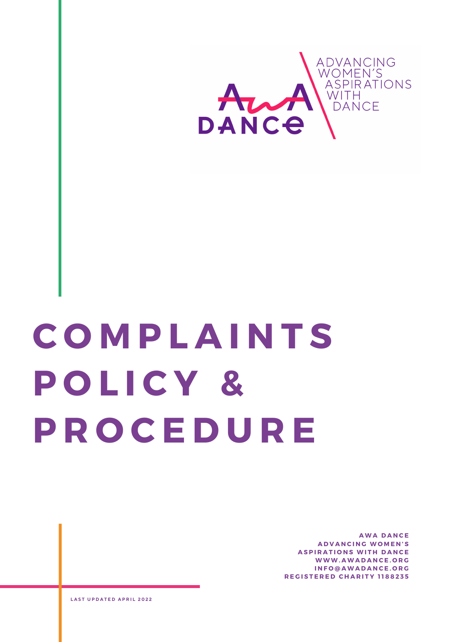

# **C O M P L A I N T S P O L I C Y & P R O C E D U R E**

**A W A D A N C E A D V A N C I N G W O M E N ' S ASPIRATIONS WITH DANCE W W W . A W A D A N C E . O R G I N F O @ A W A D A N C E . O R G R E G I S T E R E D C H A R I T Y 1 1 8 8 2 3 5**

**L A S T U P D A T E D A P R I L 2 0 2 2**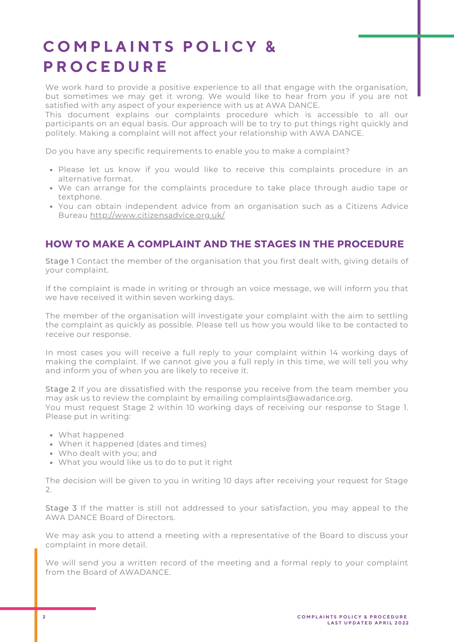## **C O M P L A I N T S P O L I C Y & P R O C E D U R E**

We work hard to provide a positive experience to all that engage with the organisation, but sometimes we may get it wrong. We would like to hear from you if you are not satisfied with any aspect of your experience with us at AWA DANCE.

This document explains our complaints procedure which is accessible to all our participants on an equal basis. Our approach will be to try to put things right quickly and politely. Making a complaint will not affect your relationship with AWA DANCE.

Do you have any specific requirements to enable you to make a complaint?

- Please let us know if you would like to receive this complaints procedure in an alternative format.
- We can arrange for the complaints procedure to take place through audio tape or textphone.
- You can obtain independent advice from an organisation such as a Citizens Advice Bureau <http://www.citizensadvice.org.uk/>

### **HOW TO MAKE A COMPLAINT AND THE STAGES IN THE PROCEDURE**

Stage 1 Contact the member of the organisation that you first dealt with, giving details of your complaint.

If the complaint is made in writing or through an voice message, we will inform you that we have received it within seven working days.

The member of the organisation will investigate your complaint with the aim to settling the complaint as quickly as possible. Please tell us how you would like to be contacted to receive our response.

In most cases you will receive a full reply to your complaint within 14 working days of making the complaint. If we cannot give you a full reply in this time, we will tell you why and inform you of when you are likely to receive it.

Stage 2 If you are dissatisfied with the response you receive from the team member you may ask us to review the complaint by emailing [complaints@awadance.org.](mailto:complaints@awadance.org) You must request Stage 2 within 10 working days of receiving our response to Stage 1. Please put in writing:

- What happened
- When it happened (dates and times)
- Who dealt with you; and
- What you would like us to do to put it right

The decision will be given to you in writing 10 days after receiving your request for Stage  $\mathcal{P}$ 

Stage 3 If the matter is still not addressed to your satisfaction, you may appeal to the AWA DANCE Board of Directors.

We may ask you to attend a meeting with a representative of the Board to discuss your complaint in more detail.

We will send you a written record of the meeting and a formal reply to your complaint from the Board of AWADANCE.